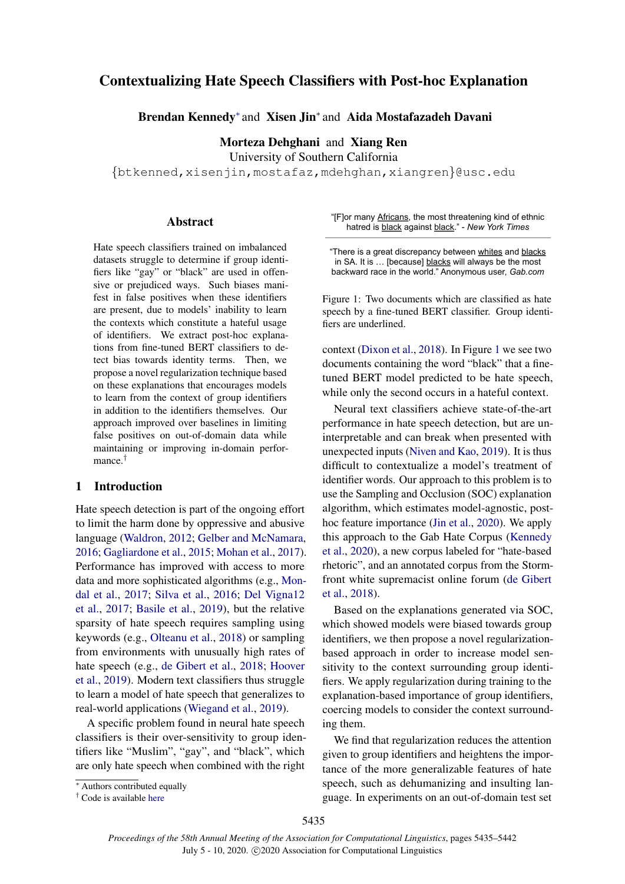# <span id="page-0-1"></span>Contextualizing Hate Speech Classifiers with Post-hoc Explanation

Brendan Kennedy<sup>∗</sup> and Xisen Jin<sup>∗</sup> and Aida Mostafazadeh Davani

Morteza Dehghani and Xiang Ren

University of Southern California

{btkenned,xisenjin,mostafaz,mdehghan,xiangren}@usc.edu

#### Abstract

Hate speech classifiers trained on imbalanced datasets struggle to determine if group identifiers like "gay" or "black" are used in offensive or prejudiced ways. Such biases manifest in false positives when these identifiers are present, due to models' inability to learn the contexts which constitute a hateful usage of identifiers. We extract post-hoc explanations from fine-tuned BERT classifiers to detect bias towards identity terms. Then, we propose a novel regularization technique based on these explanations that encourages models to learn from the context of group identifiers in addition to the identifiers themselves. Our approach improved over baselines in limiting false positives on out-of-domain data while maintaining or improving in-domain performance.†

### 1 Introduction

Hate speech detection is part of the ongoing effort to limit the harm done by oppressive and abusive language [\(Waldron,](#page-6-0) [2012;](#page-6-0) [Gelber and McNamara,](#page-5-0) [2016;](#page-5-0) [Gagliardone et al.,](#page-5-1) [2015;](#page-5-1) [Mohan et al.,](#page-5-2) [2017\)](#page-5-2). Performance has improved with access to more data and more sophisticated algorithms (e.g., [Mon](#page-5-3)[dal et al.,](#page-5-3) [2017;](#page-5-3) [Silva et al.,](#page-6-1) [2016;](#page-6-1) [Del Vigna12](#page-5-4) [et al.,](#page-5-4) [2017;](#page-5-4) [Basile et al.,](#page-5-5) [2019\)](#page-5-5), but the relative sparsity of hate speech requires sampling using keywords (e.g., [Olteanu et al.,](#page-6-2) [2018\)](#page-6-2) or sampling from environments with unusually high rates of hate speech (e.g., [de Gibert et al.,](#page-5-6) [2018;](#page-5-6) [Hoover](#page-5-7) [et al.,](#page-5-7) [2019\)](#page-5-7). Modern text classifiers thus struggle to learn a model of hate speech that generalizes to real-world applications [\(Wiegand et al.,](#page-6-3) [2019\)](#page-6-3).

A specific problem found in neural hate speech classifiers is their over-sensitivity to group identifiers like "Muslim", "gay", and "black", which are only hate speech when combined with the right

| performance in hate speech detection, but are un- |  |  |  |
|---------------------------------------------------|--|--|--|
| interpreteble and ean break when presented with   |  |  |  |

<span id="page-0-0"></span>"[F]or many Africans, the most threatening kind of ethnic hatred is black against black." - *New York Times*

"There is a great discrepancy between whites and blacks in SA. It is ... [because] blacks will always be the most backward race in the world." Anonymous user, *Gab.com*

Figure 1: Two documents which are classified as hate speech by a fine-tuned BERT classifier. Group identi-

context [\(Dixon et al.,](#page-5-8) [2018\)](#page-5-8). In Figure [1](#page-0-0) we see two documents containing the word "black" that a finetuned BERT model predicted to be hate speech, while only the second occurs in a hateful context. Neural text classifiers achieve state-of-the-art

fiers are underlined.

interpretable and can break when presented with unexpected inputs [\(Niven and Kao,](#page-6-4) [2019\)](#page-6-4). It is thus difficult to contextualize a model's treatment of identifier words. Our approach to this problem is to use the Sampling and Occlusion (SOC) explanation algorithm, which estimates model-agnostic, posthoc feature importance [\(Jin et al.,](#page-5-9) [2020\)](#page-5-9). We apply this approach to the Gab Hate Corpus [\(Kennedy](#page-5-10) [et al.,](#page-5-10) [2020\)](#page-5-10), a new corpus labeled for "hate-based rhetoric", and an annotated corpus from the Stormfront white supremacist online forum [\(de Gibert](#page-5-6) [et al.,](#page-5-6) [2018\)](#page-5-6).

Based on the explanations generated via SOC, which showed models were biased towards group identifiers, we then propose a novel regularizationbased approach in order to increase model sensitivity to the context surrounding group identifiers. We apply regularization during training to the explanation-based importance of group identifiers, coercing models to consider the context surrounding them.

We find that regularization reduces the attention given to group identifiers and heightens the importance of the more generalizable features of hate speech, such as dehumanizing and insulting language. In experiments on an out-of-domain test set

<sup>∗</sup> Authors contributed equally

<sup>†</sup> Code is available [here](https://github.com/BrendanKennedy/contextualizing-hate-speech-models-with-explanations)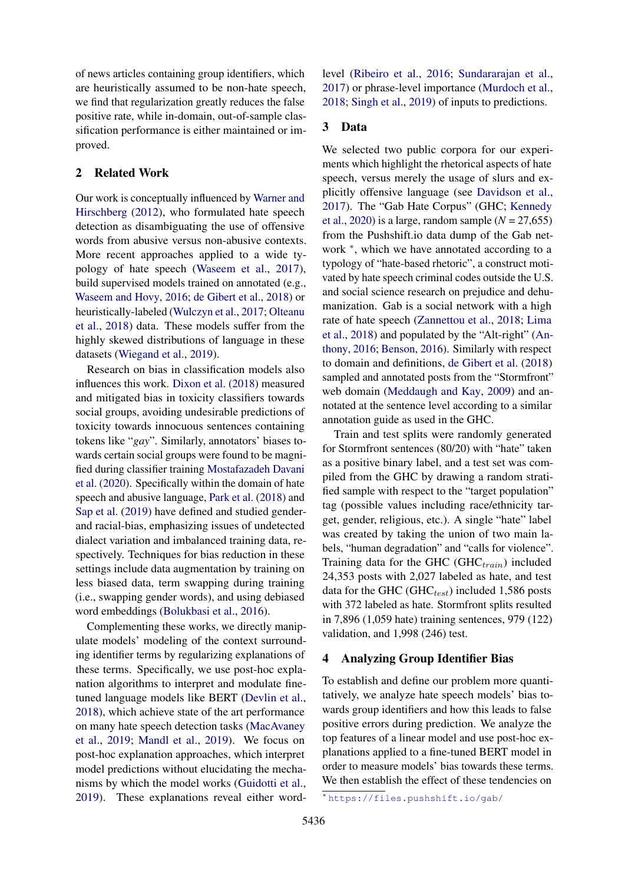of news articles containing group identifiers, which are heuristically assumed to be non-hate speech, we find that regularization greatly reduces the false positive rate, while in-domain, out-of-sample classification performance is either maintained or improved.

# 2 Related Work

Our work is conceptually influenced by [Warner and](#page-6-5) [Hirschberg](#page-6-5) [\(2012\)](#page-6-5), who formulated hate speech detection as disambiguating the use of offensive words from abusive versus non-abusive contexts. More recent approaches applied to a wide typology of hate speech [\(Waseem et al.,](#page-6-6) [2017\)](#page-6-6), build supervised models trained on annotated (e.g., [Waseem and Hovy,](#page-6-7) [2016;](#page-6-7) [de Gibert et al.,](#page-5-6) [2018\)](#page-5-6) or heuristically-labeled [\(Wulczyn et al.,](#page-6-8) [2017;](#page-6-8) [Olteanu](#page-6-2) [et al.,](#page-6-2) [2018\)](#page-6-2) data. These models suffer from the highly skewed distributions of language in these datasets [\(Wiegand et al.,](#page-6-3) [2019\)](#page-6-3).

Research on bias in classification models also influences this work. [Dixon et al.](#page-5-8) [\(2018\)](#page-5-8) measured and mitigated bias in toxicity classifiers towards social groups, avoiding undesirable predictions of toxicity towards innocuous sentences containing tokens like "*gay*". Similarly, annotators' biases towards certain social groups were found to be magnified during classifier training [Mostafazadeh Davani](#page-6-9) [et al.](#page-6-9) [\(2020\)](#page-6-9). Specifically within the domain of hate speech and abusive language, [Park et al.](#page-6-10) [\(2018\)](#page-6-10) and [Sap et al.](#page-6-11) [\(2019\)](#page-6-11) have defined and studied genderand racial-bias, emphasizing issues of undetected dialect variation and imbalanced training data, respectively. Techniques for bias reduction in these settings include data augmentation by training on less biased data, term swapping during training (i.e., swapping gender words), and using debiased word embeddings [\(Bolukbasi et al.,](#page-5-11) [2016\)](#page-5-11).

Complementing these works, we directly manipulate models' modeling of the context surrounding identifier terms by regularizing explanations of these terms. Specifically, we use post-hoc explanation algorithms to interpret and modulate finetuned language models like BERT [\(Devlin et al.,](#page-5-12) [2018\)](#page-5-12), which achieve state of the art performance on many hate speech detection tasks [\(MacAvaney](#page-5-13) [et al.,](#page-5-13) [2019;](#page-5-13) [Mandl et al.,](#page-5-14) [2019\)](#page-5-14). We focus on post-hoc explanation approaches, which interpret model predictions without elucidating the mechanisms by which the model works [\(Guidotti et al.,](#page-5-15) [2019\)](#page-5-15). These explanations reveal either word-

level [\(Ribeiro et al.,](#page-6-12) [2016;](#page-6-12) [Sundararajan et al.,](#page-6-13) [2017\)](#page-6-13) or phrase-level importance [\(Murdoch et al.,](#page-6-14) [2018;](#page-6-14) [Singh et al.,](#page-6-15) [2019\)](#page-6-15) of inputs to predictions.

# 3 Data

We selected two public corpora for our experiments which highlight the rhetorical aspects of hate speech, versus merely the usage of slurs and explicitly offensive language (see [Davidson et al.,](#page-5-16) [2017\)](#page-5-16). The "Gab Hate Corpus" (GHC; [Kennedy](#page-5-10) [et al.,](#page-5-10) [2020\)](#page-5-10) is a large, random sample  $(N = 27,655)$ from the Pushshift.io data dump of the Gab network  $*$ , which we have annotated according to a typology of "hate-based rhetoric", a construct motivated by hate speech criminal codes outside the U.S. and social science research on prejudice and dehumanization. Gab is a social network with a high rate of hate speech [\(Zannettou et al.,](#page-6-16) [2018;](#page-6-16) [Lima](#page-5-17) [et al.,](#page-5-17) [2018\)](#page-5-17) and populated by the "Alt-right" [\(An](#page-5-18)[thony,](#page-5-18) [2016;](#page-5-18) [Benson,](#page-5-19) [2016\)](#page-5-19). Similarly with respect to domain and definitions, [de Gibert et al.](#page-5-6) [\(2018\)](#page-5-6) sampled and annotated posts from the "Stormfront" web domain [\(Meddaugh and Kay,](#page-5-20) [2009\)](#page-5-20) and annotated at the sentence level according to a similar annotation guide as used in the GHC.

Train and test splits were randomly generated for Stormfront sentences (80/20) with "hate" taken as a positive binary label, and a test set was compiled from the GHC by drawing a random stratified sample with respect to the "target population" tag (possible values including race/ethnicity target, gender, religious, etc.). A single "hate" label was created by taking the union of two main labels, "human degradation" and "calls for violence". Training data for the GHC (GHC $_{train}$ ) included 24,353 posts with 2,027 labeled as hate, and test data for the GHC (GHC $_{test}$ ) included 1,586 posts with 372 labeled as hate. Stormfront splits resulted in 7,896 (1,059 hate) training sentences, 979 (122) validation, and 1,998 (246) test.

### 4 Analyzing Group Identifier Bias

To establish and define our problem more quantitatively, we analyze hate speech models' bias towards group identifiers and how this leads to false positive errors during prediction. We analyze the top features of a linear model and use post-hoc explanations applied to a fine-tuned BERT model in order to measure models' bias towards these terms. We then establish the effect of these tendencies on

<sup>∗</sup> <https://files.pushshift.io/gab/>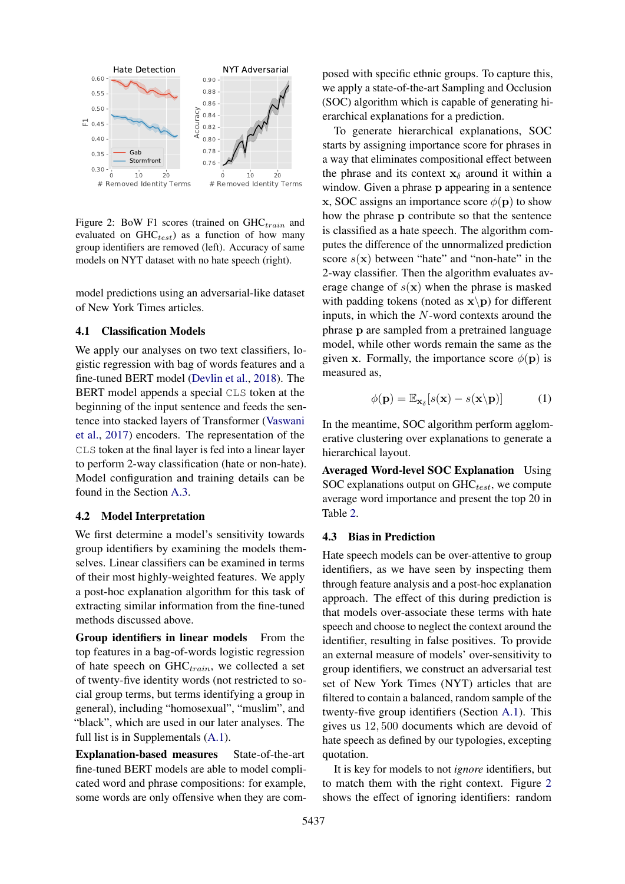<span id="page-2-0"></span>

Figure 2: BoW F1 scores (trained on  $GHC_{train}$  and evaluated on  $GHC_{test}$ ) as a function of how many group identifiers are removed (left). Accuracy of same models on NYT dataset with no hate speech (right).

model predictions using an adversarial-like dataset of New York Times articles.

### 4.1 Classification Models

We apply our analyses on two text classifiers, logistic regression with bag of words features and a fine-tuned BERT model [\(Devlin et al.,](#page-5-12) [2018\)](#page-5-12). The BERT model appends a special CLS token at the beginning of the input sentence and feeds the sentence into stacked layers of Transformer [\(Vaswani](#page-6-17) [et al.,](#page-6-17) [2017\)](#page-6-17) encoders. The representation of the CLS token at the final layer is fed into a linear layer to perform 2-way classification (hate or non-hate). Model configuration and training details can be found in the Section [A.3.](#page-7-0)

### 4.2 Model Interpretation

We first determine a model's sensitivity towards group identifiers by examining the models themselves. Linear classifiers can be examined in terms of their most highly-weighted features. We apply a post-hoc explanation algorithm for this task of extracting similar information from the fine-tuned methods discussed above.

Group identifiers in linear models From the top features in a bag-of-words logistic regression of hate speech on  $GHC_{train}$ , we collected a set of twenty-five identity words (not restricted to social group terms, but terms identifying a group in general), including "homosexual", "muslim", and "black", which are used in our later analyses. The full list is in Supplementals [\(A.1\)](#page-7-1).

Explanation-based measures State-of-the-art fine-tuned BERT models are able to model complicated word and phrase compositions: for example, some words are only offensive when they are composed with specific ethnic groups. To capture this, we apply a state-of-the-art Sampling and Occlusion (SOC) algorithm which is capable of generating hierarchical explanations for a prediction.

To generate hierarchical explanations, SOC starts by assigning importance score for phrases in a way that eliminates compositional effect between the phrase and its context  $x_{\delta}$  around it within a window. Given a phrase p appearing in a sentence x, SOC assigns an importance score  $\phi(\mathbf{p})$  to show how the phrase p contribute so that the sentence is classified as a hate speech. The algorithm computes the difference of the unnormalized prediction score  $s(x)$  between "hate" and "non-hate" in the 2-way classifier. Then the algorithm evaluates average change of  $s(x)$  when the phrase is masked with padding tokens (noted as  $\mathbf{x} \backslash \mathbf{p}$ ) for different inputs, in which the N-word contexts around the phrase p are sampled from a pretrained language model, while other words remain the same as the given x. Formally, the importance score  $\phi(\mathbf{p})$  is measured as,

$$
\phi(\mathbf{p}) = \mathbb{E}_{\mathbf{x}_{\delta}}[s(\mathbf{x}) - s(\mathbf{x}\backslash \mathbf{p})]
$$
 (1)

In the meantime, SOC algorithm perform agglomerative clustering over explanations to generate a hierarchical layout.

Averaged Word-level SOC Explanation Using SOC explanations output on  $GHC_{test}$ , we compute average word importance and present the top 20 in Table [2.](#page-4-0)

### 4.3 Bias in Prediction

Hate speech models can be over-attentive to group identifiers, as we have seen by inspecting them through feature analysis and a post-hoc explanation approach. The effect of this during prediction is that models over-associate these terms with hate speech and choose to neglect the context around the identifier, resulting in false positives. To provide an external measure of models' over-sensitivity to group identifiers, we construct an adversarial test set of New York Times (NYT) articles that are filtered to contain a balanced, random sample of the twenty-five group identifiers (Section [A.1\)](#page-7-1). This gives us 12, 500 documents which are devoid of hate speech as defined by our typologies, excepting quotation.

It is key for models to not *ignore* identifiers, but to match them with the right context. Figure [2](#page-2-0) shows the effect of ignoring identifiers: random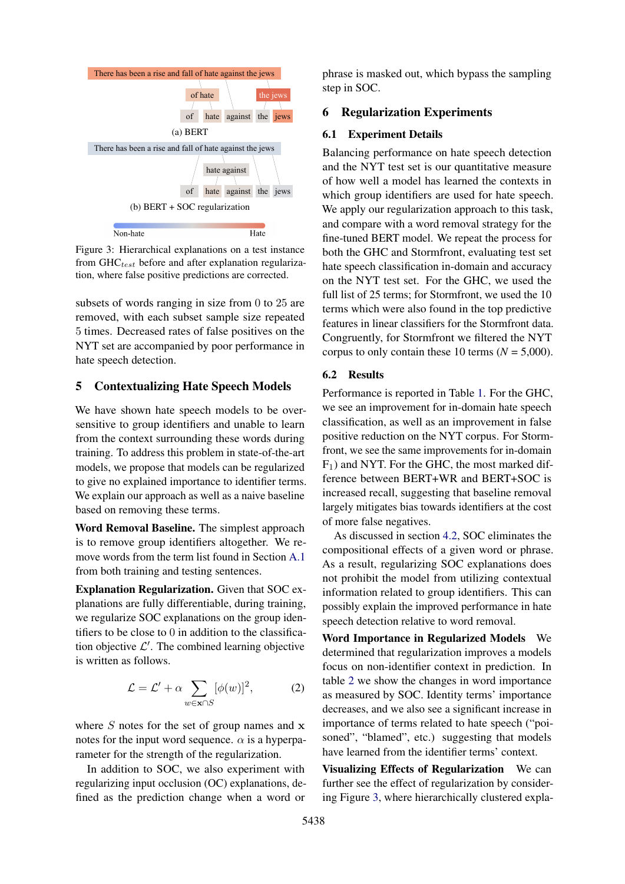<span id="page-3-0"></span>

Figure 3: Hierarchical explanations on a test instance from  $GHC_{test}$  before and after explanation regularization, where false positive predictions are corrected.

subsets of words ranging in size from 0 to 25 are removed, with each subset sample size repeated 5 times. Decreased rates of false positives on the NYT set are accompanied by poor performance in hate speech detection.

# 5 Contextualizing Hate Speech Models

We have shown hate speech models to be oversensitive to group identifiers and unable to learn from the context surrounding these words during training. To address this problem in state-of-the-art models, we propose that models can be regularized to give no explained importance to identifier terms. We explain our approach as well as a naive baseline based on removing these terms.

Word Removal Baseline. The simplest approach is to remove group identifiers altogether. We remove words from the term list found in Section [A.1](#page-7-1) from both training and testing sentences.

Explanation Regularization. Given that SOC explanations are fully differentiable, during training, we regularize SOC explanations on the group identifiers to be close to 0 in addition to the classification objective  $\mathcal{L}'$ . The combined learning objective is written as follows.

$$
\mathcal{L} = \mathcal{L}' + \alpha \sum_{w \in \mathbf{x} \cap S} [\phi(w)]^2, \tag{2}
$$

where  $S$  notes for the set of group names and  $x$ notes for the input word sequence.  $\alpha$  is a hyperparameter for the strength of the regularization.

In addition to SOC, we also experiment with regularizing input occlusion (OC) explanations, defined as the prediction change when a word or phrase is masked out, which bypass the sampling step in SOC.

## 6 Regularization Experiments

#### 6.1 Experiment Details

Balancing performance on hate speech detection and the NYT test set is our quantitative measure of how well a model has learned the contexts in which group identifiers are used for hate speech. We apply our regularization approach to this task, and compare with a word removal strategy for the fine-tuned BERT model. We repeat the process for both the GHC and Stormfront, evaluating test set hate speech classification in-domain and accuracy on the NYT test set. For the GHC, we used the full list of 25 terms; for Stormfront, we used the 10 terms which were also found in the top predictive features in linear classifiers for the Stormfront data. Congruently, for Stormfront we filtered the NYT corpus to only contain these 10 terms ( $N = 5,000$ ).

### 6.2 Results

Performance is reported in Table [1.](#page-4-1) For the GHC, we see an improvement for in-domain hate speech classification, as well as an improvement in false positive reduction on the NYT corpus. For Stormfront, we see the same improvements for in-domain  $F_1$ ) and NYT. For the GHC, the most marked difference between BERT+WR and BERT+SOC is increased recall, suggesting that baseline removal largely mitigates bias towards identifiers at the cost of more false negatives.

As discussed in section [4.2,](#page-2-0) SOC eliminates the compositional effects of a given word or phrase. As a result, regularizing SOC explanations does not prohibit the model from utilizing contextual information related to group identifiers. This can possibly explain the improved performance in hate speech detection relative to word removal.

Word Importance in Regularized Models We determined that regularization improves a models focus on non-identifier context in prediction. In table [2](#page-4-0) we show the changes in word importance as measured by SOC. Identity terms' importance decreases, and we also see a significant increase in importance of terms related to hate speech ("poisoned", "blamed", etc.) suggesting that models have learned from the identifier terms' context.

Visualizing Effects of Regularization We can further see the effect of regularization by considering Figure [3,](#page-3-0) where hierarchically clustered expla-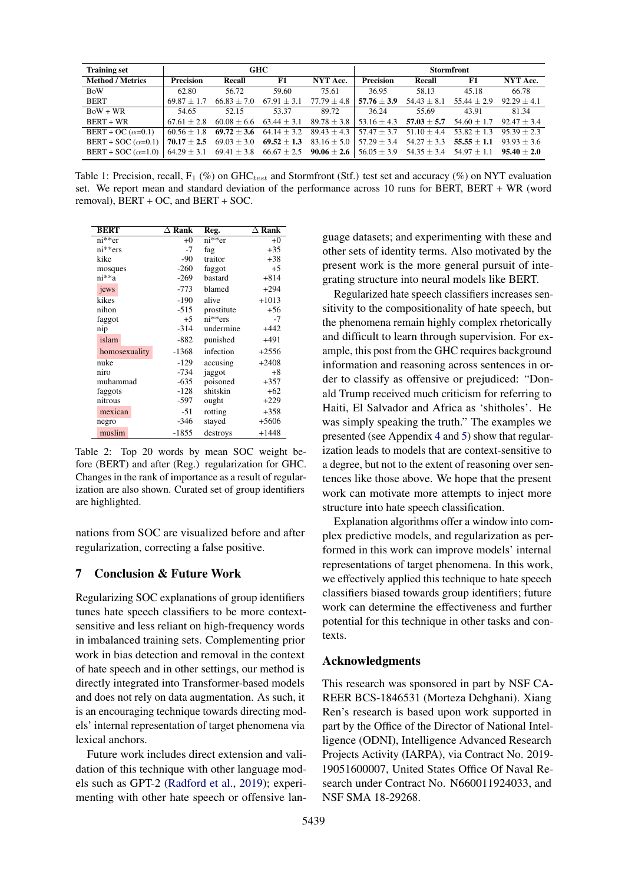<span id="page-4-1"></span>

| <b>Training set</b>       | <b>GHC</b>       |                                                                 |                 | <b>Stormfront</b> |                  |                 |                 |               |
|---------------------------|------------------|-----------------------------------------------------------------|-----------------|-------------------|------------------|-----------------|-----------------|---------------|
| <b>Method / Metrics</b>   | <b>Precision</b> | Recall                                                          | F1              | NYT Acc.          | <b>Precision</b> | Recall          | F1              | NYT Acc.      |
| <b>BoW</b>                | 62.80            | 56.72                                                           | 59.60           | 75.61             | 36.95            | 58.13           | 45.18           | 66.78         |
| <b>BERT</b>               | $69.87 + 1.7$    | $66.83 + 7.0$                                                   | $67.91 + 3.1$   | $77.79 \pm 4.8$   | $57.76 \pm 3.9$  | $54.43 \pm 8.1$ | $55.44 \pm 2.9$ | $92.29 + 4.1$ |
| $B_0W + WR$               | 54.65            | 52.15                                                           | 53.37           | 89.72             | 36.24            | 55.69           | 43.91           | 81.34         |
| BERT + WR                 | $67.61 + 2.8$    | $60.08 \pm 6.6$                                                 | $63.44 \pm 3.1$ | $89.78 \pm 3.8$   | $53.16 \pm 4.3$  | $57.03 \pm 5.7$ | $54.60 \pm 1.7$ | $92.47 + 3.4$ |
| BERT + OC $(\alpha=0.1)$  | $60.56 + 1.8$    | $69.72 + 3.6$                                                   | $64.14 \pm 3.2$ | $89.43 \pm 4.3$   | $57.47 \pm 3.7$  | $51.10 \pm 4.4$ | $53.82 + 1.3$   | $95.39 + 2.3$ |
| BERT + SOC $(\alpha=0.1)$ | $70.17 + 2.5$    | $69.03 \pm 3.0$                                                 | $69.52 \pm 1.3$ | $83.16 \pm 5.0$   | $57.29 + 3.4$    | $54.27 + 3.3$   | $55.55 + 1.1$   | $93.93 + 3.6$ |
| $BERT + SOC (\alpha=1.0)$ |                  | $64.29 \pm 3.1$ $69.41 \pm 3.8$ $66.67 \pm 2.5$ $90.06 \pm 2.6$ |                 |                   | $56.05 \pm 3.9$  | $54.35 \pm 3.4$ | $54.97 \pm 1.1$ | $95.40 + 2.0$ |

Table 1: Precision, recall,  $F_1$  (%) on GHC<sub>test</sub> and Stormfront (Stf.) test set and accuracy (%) on NYT evaluation set. We report mean and standard deviation of the performance across 10 runs for BERT, BERT + WR (word removal), BERT + OC, and BERT + SOC.

<span id="page-4-0"></span>

| <b>BERT</b>   | $\Delta$ Rank | Reg.       | $\Delta$ Rank |
|---------------|---------------|------------|---------------|
| ni**er        | $+0$          | $ni**er$   | $+0$          |
| $ni**ers$     | $-7$          | fag        | $+35$         |
| kike          | $-90$         | traitor    | $+38$         |
| mosques       | $-260$        | faggot     | $+5$          |
| ni**a         | $-269$        | bastard    | $+814$        |
| jews          | $-773$        | blamed     | $+294$        |
| kikes         | $-190$        | alive      | $+1013$       |
| nihon         | $-515$        | prostitute | $+56$         |
| faggot        | $+5$          | $ni**ers$  | $-7$          |
| nip           | $-314$        | undermine  | $+442$        |
| islam         | $-882$        | punished   | $+491$        |
| homosexuality | $-1368$       | infection  | $+2556$       |
| nuke          | $-129$        | accusing   | $+2408$       |
| niro          | $-734$        | jaggot     | $+8$          |
| muhammad      | $-635$        | poisoned   | $+357$        |
| faggots       | $-128$        | shitskin   | $+62$         |
| nitrous       | -597          | ought      | $+229$        |
| mexican       | $-51$         | rotting    | $+358$        |
| negro         | $-346$        | stayed     | $+5606$       |
| muslim        | $-1855$       | destroys   | $+1448$       |

Table 2: Top 20 words by mean SOC weight before (BERT) and after (Reg.) regularization for GHC. Changes in the rank of importance as a result of regularization are also shown. Curated set of group identifiers are highlighted.

nations from SOC are visualized before and after regularization, correcting a false positive.

# 7 Conclusion & Future Work

Regularizing SOC explanations of group identifiers tunes hate speech classifiers to be more contextsensitive and less reliant on high-frequency words in imbalanced training sets. Complementing prior work in bias detection and removal in the context of hate speech and in other settings, our method is directly integrated into Transformer-based models and does not rely on data augmentation. As such, it is an encouraging technique towards directing models' internal representation of target phenomena via lexical anchors.

Future work includes direct extension and validation of this technique with other language models such as GPT-2 [\(Radford et al.,](#page-6-18) [2019\)](#page-6-18); experimenting with other hate speech or offensive lan-

guage datasets; and experimenting with these and other sets of identity terms. Also motivated by the present work is the more general pursuit of integrating structure into neural models like BERT.

Regularized hate speech classifiers increases sensitivity to the compositionality of hate speech, but the phenomena remain highly complex rhetorically and difficult to learn through supervision. For example, this post from the GHC requires background information and reasoning across sentences in order to classify as offensive or prejudiced: "Donald Trump received much criticism for referring to Haiti, El Salvador and Africa as 'shitholes'. He was simply speaking the truth." The examples we presented (see Appendix [4](#page-7-2) and [5\)](#page-7-3) show that regularization leads to models that are context-sensitive to a degree, but not to the extent of reasoning over sentences like those above. We hope that the present work can motivate more attempts to inject more structure into hate speech classification.

Explanation algorithms offer a window into complex predictive models, and regularization as performed in this work can improve models' internal representations of target phenomena. In this work, we effectively applied this technique to hate speech classifiers biased towards group identifiers; future work can determine the effectiveness and further potential for this technique in other tasks and contexts.

# Acknowledgments

This research was sponsored in part by NSF CA-REER BCS-1846531 (Morteza Dehghani). Xiang Ren's research is based upon work supported in part by the Office of the Director of National Intelligence (ODNI), Intelligence Advanced Research Projects Activity (IARPA), via Contract No. 2019- 19051600007, United States Office Of Naval Research under Contract No. N660011924033, and NSF SMA 18-29268.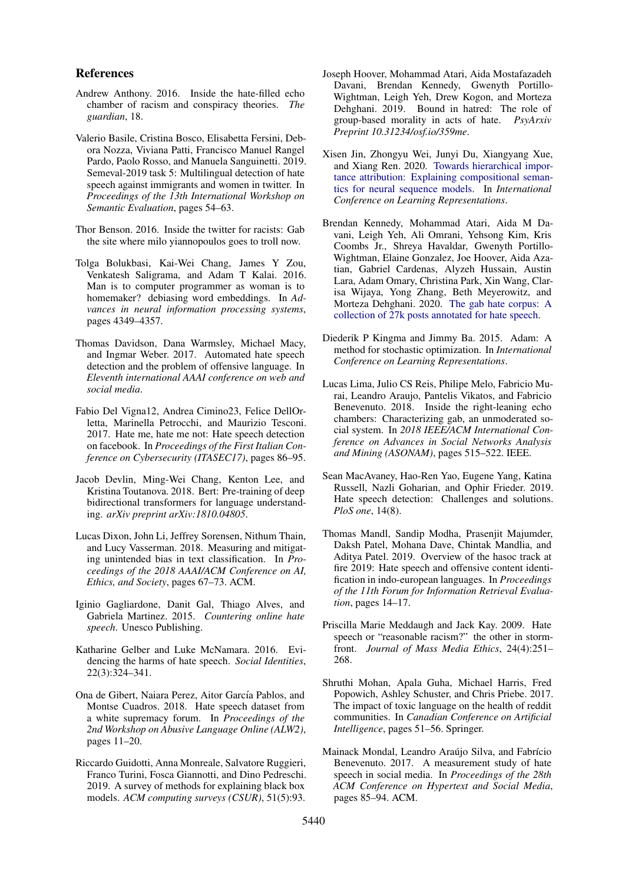### References

- <span id="page-5-18"></span>Andrew Anthony. 2016. Inside the hate-filled echo chamber of racism and conspiracy theories. *The guardian*, 18.
- <span id="page-5-5"></span>Valerio Basile, Cristina Bosco, Elisabetta Fersini, Debora Nozza, Viviana Patti, Francisco Manuel Rangel Pardo, Paolo Rosso, and Manuela Sanguinetti. 2019. Semeval-2019 task 5: Multilingual detection of hate speech against immigrants and women in twitter. In *Proceedings of the 13th International Workshop on Semantic Evaluation*, pages 54–63.
- <span id="page-5-19"></span>Thor Benson. 2016. Inside the twitter for racists: Gab the site where milo yiannopoulos goes to troll now.
- <span id="page-5-11"></span>Tolga Bolukbasi, Kai-Wei Chang, James Y Zou, Venkatesh Saligrama, and Adam T Kalai. 2016. Man is to computer programmer as woman is to homemaker? debiasing word embeddings. In *Advances in neural information processing systems*, pages 4349–4357.
- <span id="page-5-16"></span>Thomas Davidson, Dana Warmsley, Michael Macy, and Ingmar Weber. 2017. Automated hate speech detection and the problem of offensive language. In *Eleventh international AAAI conference on web and social media*.
- <span id="page-5-4"></span>Fabio Del Vigna12, Andrea Cimino23, Felice DellOrletta, Marinella Petrocchi, and Maurizio Tesconi. 2017. Hate me, hate me not: Hate speech detection on facebook. In *Proceedings of the First Italian Conference on Cybersecurity (ITASEC17)*, pages 86–95.
- <span id="page-5-12"></span>Jacob Devlin, Ming-Wei Chang, Kenton Lee, and Kristina Toutanova. 2018. Bert: Pre-training of deep bidirectional transformers for language understanding. *arXiv preprint arXiv:1810.04805*.
- <span id="page-5-8"></span>Lucas Dixon, John Li, Jeffrey Sorensen, Nithum Thain, and Lucy Vasserman. 2018. Measuring and mitigating unintended bias in text classification. In *Proceedings of the 2018 AAAI/ACM Conference on AI, Ethics, and Society*, pages 67–73. ACM.
- <span id="page-5-1"></span>Iginio Gagliardone, Danit Gal, Thiago Alves, and Gabriela Martinez. 2015. *Countering online hate speech*. Unesco Publishing.
- <span id="page-5-0"></span>Katharine Gelber and Luke McNamara. 2016. Evidencing the harms of hate speech. *Social Identities*, 22(3):324–341.
- <span id="page-5-6"></span>Ona de Gibert, Naiara Perez, Aitor García Pablos, and Montse Cuadros. 2018. Hate speech dataset from a white supremacy forum. In *Proceedings of the 2nd Workshop on Abusive Language Online (ALW2)*, pages 11–20.
- <span id="page-5-15"></span>Riccardo Guidotti, Anna Monreale, Salvatore Ruggieri, Franco Turini, Fosca Giannotti, and Dino Pedreschi. 2019. A survey of methods for explaining black box models. *ACM computing surveys (CSUR)*, 51(5):93.
- <span id="page-5-7"></span>Joseph Hoover, Mohammad Atari, Aida Mostafazadeh Davani, Brendan Kennedy, Gwenyth Portillo-Wightman, Leigh Yeh, Drew Kogon, and Morteza Dehghani. 2019. Bound in hatred: The role of group-based morality in acts of hate. *PsyArxiv Preprint 10.31234/osf.io/359me*.
- <span id="page-5-9"></span>Xisen Jin, Zhongyu Wei, Junyi Du, Xiangyang Xue, and Xiang Ren. 2020. [Towards hierarchical impor](https://openreview.net/forum?id=BkxRRkSKwr)[tance attribution: Explaining compositional seman](https://openreview.net/forum?id=BkxRRkSKwr)[tics for neural sequence models.](https://openreview.net/forum?id=BkxRRkSKwr) In *International Conference on Learning Representations*.
- <span id="page-5-10"></span>Brendan Kennedy, Mohammad Atari, Aida M Davani, Leigh Yeh, Ali Omrani, Yehsong Kim, Kris Coombs Jr., Shreya Havaldar, Gwenyth Portillo-Wightman, Elaine Gonzalez, Joe Hoover, Aida Azatian, Gabriel Cardenas, Alyzeh Hussain, Austin Lara, Adam Omary, Christina Park, Xin Wang, Clarisa Wijaya, Yong Zhang, Beth Meyerowitz, and Morteza Dehghani. 2020. [The gab hate corpus: A](https://doi.org/10.31234/osf.io/hqjxn) [collection of 27k posts annotated for hate speech.](https://doi.org/10.31234/osf.io/hqjxn)
- <span id="page-5-21"></span>Diederik P Kingma and Jimmy Ba. 2015. Adam: A method for stochastic optimization. In *International Conference on Learning Representations*.
- <span id="page-5-17"></span>Lucas Lima, Julio CS Reis, Philipe Melo, Fabricio Murai, Leandro Araujo, Pantelis Vikatos, and Fabricio Benevenuto. 2018. Inside the right-leaning echo chambers: Characterizing gab, an unmoderated social system. In *2018 IEEE/ACM International Conference on Advances in Social Networks Analysis and Mining (ASONAM)*, pages 515–522. IEEE.
- <span id="page-5-13"></span>Sean MacAvaney, Hao-Ren Yao, Eugene Yang, Katina Russell, Nazli Goharian, and Ophir Frieder. 2019. Hate speech detection: Challenges and solutions. *PloS one*, 14(8).
- <span id="page-5-14"></span>Thomas Mandl, Sandip Modha, Prasenjit Majumder, Daksh Patel, Mohana Dave, Chintak Mandlia, and Aditya Patel. 2019. Overview of the hasoc track at fire 2019: Hate speech and offensive content identification in indo-european languages. In *Proceedings of the 11th Forum for Information Retrieval Evaluation*, pages 14–17.
- <span id="page-5-20"></span>Priscilla Marie Meddaugh and Jack Kay. 2009. Hate speech or "reasonable racism?" the other in stormfront. *Journal of Mass Media Ethics*, 24(4):251– 268.
- <span id="page-5-2"></span>Shruthi Mohan, Apala Guha, Michael Harris, Fred Popowich, Ashley Schuster, and Chris Priebe. 2017. The impact of toxic language on the health of reddit communities. In *Canadian Conference on Artificial Intelligence*, pages 51–56. Springer.
- <span id="page-5-3"></span>Mainack Mondal, Leandro Araújo Silva, and Fabrício Benevenuto. 2017. A measurement study of hate speech in social media. In *Proceedings of the 28th ACM Conference on Hypertext and Social Media*, pages 85–94. ACM.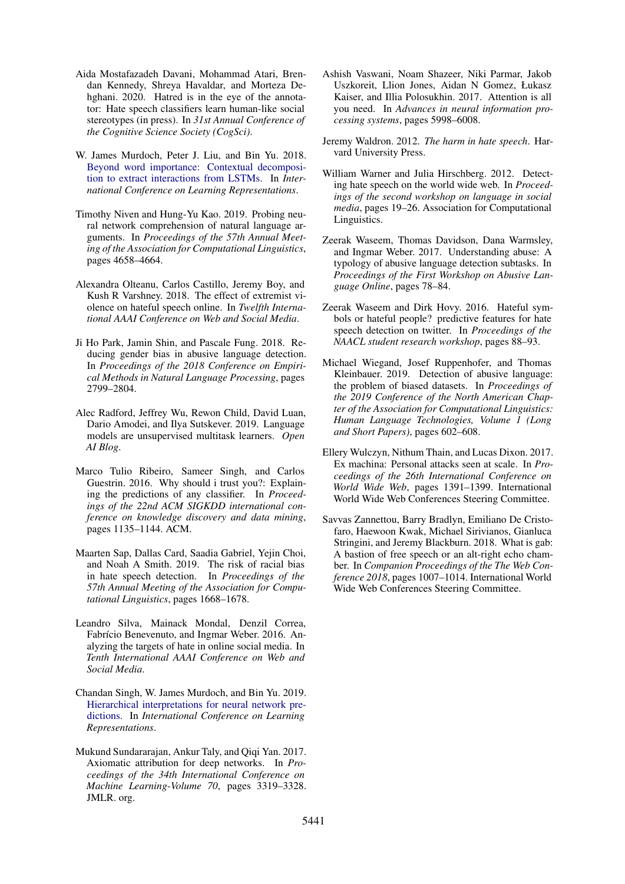- <span id="page-6-9"></span>Aida Mostafazadeh Davani, Mohammad Atari, Brendan Kennedy, Shreya Havaldar, and Morteza Dehghani. 2020. Hatred is in the eye of the annotator: Hate speech classifiers learn human-like social stereotypes (in press). In *31st Annual Conference of the Cognitive Science Society (CogSci)*.
- <span id="page-6-14"></span>W. James Murdoch, Peter J. Liu, and Bin Yu. 2018. [Beyond word importance: Contextual decomposi](https://openreview.net/forum?id=rkRwGg-0Z)[tion to extract interactions from LSTMs.](https://openreview.net/forum?id=rkRwGg-0Z) In *International Conference on Learning Representations*.
- <span id="page-6-4"></span>Timothy Niven and Hung-Yu Kao. 2019. Probing neural network comprehension of natural language arguments. In *Proceedings of the 57th Annual Meeting of the Association for Computational Linguistics*, pages 4658–4664.
- <span id="page-6-2"></span>Alexandra Olteanu, Carlos Castillo, Jeremy Boy, and Kush R Varshney. 2018. The effect of extremist violence on hateful speech online. In *Twelfth International AAAI Conference on Web and Social Media*.
- <span id="page-6-10"></span>Ji Ho Park, Jamin Shin, and Pascale Fung. 2018. Reducing gender bias in abusive language detection. In *Proceedings of the 2018 Conference on Empirical Methods in Natural Language Processing*, pages 2799–2804.
- <span id="page-6-18"></span>Alec Radford, Jeffrey Wu, Rewon Child, David Luan, Dario Amodei, and Ilya Sutskever. 2019. Language models are unsupervised multitask learners. *Open AI Blog*.
- <span id="page-6-12"></span>Marco Tulio Ribeiro, Sameer Singh, and Carlos Guestrin. 2016. Why should i trust you?: Explaining the predictions of any classifier. In *Proceedings of the 22nd ACM SIGKDD international conference on knowledge discovery and data mining*, pages 1135–1144. ACM.
- <span id="page-6-11"></span>Maarten Sap, Dallas Card, Saadia Gabriel, Yejin Choi, and Noah A Smith. 2019. The risk of racial bias in hate speech detection. In *Proceedings of the 57th Annual Meeting of the Association for Computational Linguistics*, pages 1668–1678.
- <span id="page-6-1"></span>Leandro Silva, Mainack Mondal, Denzil Correa, Fabrício Benevenuto, and Ingmar Weber. 2016. Analyzing the targets of hate in online social media. In *Tenth International AAAI Conference on Web and Social Media*.
- <span id="page-6-15"></span>Chandan Singh, W. James Murdoch, and Bin Yu. 2019. [Hierarchical interpretations for neural network pre](https://openreview.net/forum?id=SkEqro0ctQ)[dictions.](https://openreview.net/forum?id=SkEqro0ctQ) In *International Conference on Learning Representations*.
- <span id="page-6-13"></span>Mukund Sundararajan, Ankur Taly, and Qiqi Yan. 2017. Axiomatic attribution for deep networks. In *Proceedings of the 34th International Conference on Machine Learning-Volume 70*, pages 3319–3328. JMLR. org.
- <span id="page-6-17"></span>Ashish Vaswani, Noam Shazeer, Niki Parmar, Jakob Uszkoreit, Llion Jones, Aidan N Gomez, Łukasz Kaiser, and Illia Polosukhin. 2017. Attention is all you need. In *Advances in neural information processing systems*, pages 5998–6008.
- <span id="page-6-0"></span>Jeremy Waldron. 2012. *The harm in hate speech*. Harvard University Press.
- <span id="page-6-5"></span>William Warner and Julia Hirschberg. 2012. Detecting hate speech on the world wide web. In *Proceedings of the second workshop on language in social media*, pages 19–26. Association for Computational Linguistics.
- <span id="page-6-6"></span>Zeerak Waseem, Thomas Davidson, Dana Warmsley, and Ingmar Weber. 2017. Understanding abuse: A typology of abusive language detection subtasks. In *Proceedings of the First Workshop on Abusive Language Online*, pages 78–84.
- <span id="page-6-7"></span>Zeerak Waseem and Dirk Hovy. 2016. Hateful symbols or hateful people? predictive features for hate speech detection on twitter. In *Proceedings of the NAACL student research workshop*, pages 88–93.
- <span id="page-6-3"></span>Michael Wiegand, Josef Ruppenhofer, and Thomas Kleinbauer. 2019. Detection of abusive language: the problem of biased datasets. In *Proceedings of the 2019 Conference of the North American Chapter of the Association for Computational Linguistics: Human Language Technologies, Volume 1 (Long and Short Papers)*, pages 602–608.
- <span id="page-6-8"></span>Ellery Wulczyn, Nithum Thain, and Lucas Dixon. 2017. Ex machina: Personal attacks seen at scale. In *Proceedings of the 26th International Conference on World Wide Web*, pages 1391–1399. International World Wide Web Conferences Steering Committee.
- <span id="page-6-16"></span>Savvas Zannettou, Barry Bradlyn, Emiliano De Cristofaro, Haewoon Kwak, Michael Sirivianos, Gianluca Stringini, and Jeremy Blackburn. 2018. What is gab: A bastion of free speech or an alt-right echo chamber. In *Companion Proceedings of the The Web Conference 2018*, pages 1007–1014. International World Wide Web Conferences Steering Committee.